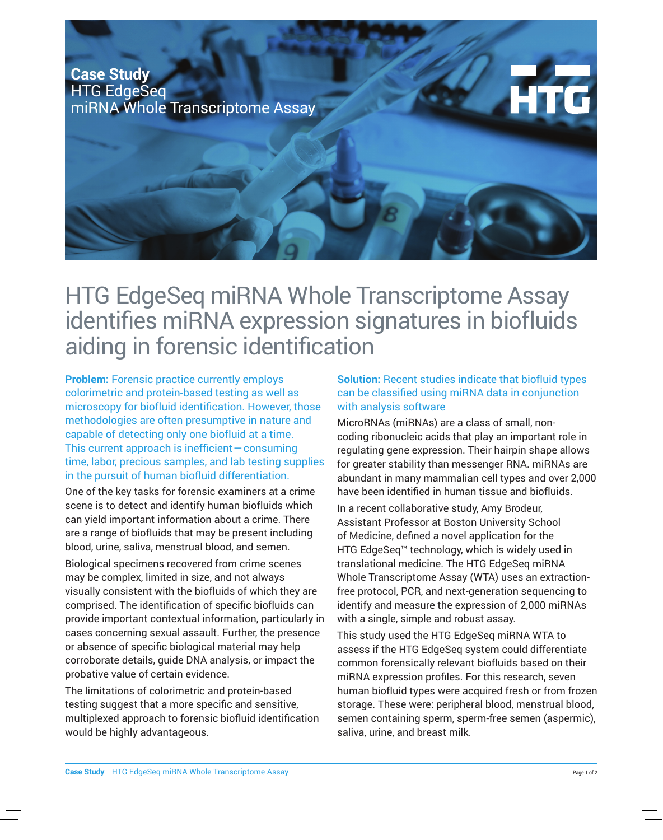## **Case Study** HTG EdgeSeq miRNA Whole Transcriptome Assay



## HTG EdgeSeq miRNA Whole Transcriptome Assay identifies miRNA expression signatures in biofluids aiding in forensic identification

**Problem:** Forensic practice currently employs colorimetric and protein-based testing as well as microscopy for biofluid identification. However, those methodologies are often presumptive in nature and capable of detecting only one biofluid at a time. This current approach is inefficient — consuming time, labor, precious samples, and lab testing supplies in the pursuit of human biofluid differentiation.

One of the key tasks for forensic examiners at a crime scene is to detect and identify human biofluids which can yield important information about a crime. There are a range of biofluids that may be present including blood, urine, saliva, menstrual blood, and semen.

Biological specimens recovered from crime scenes may be complex, limited in size, and not always visually consistent with the biofluids of which they are comprised. The identification of specific biofluids can provide important contextual information, particularly in cases concerning sexual assault. Further, the presence or absence of specific biological material may help corroborate details, guide DNA analysis, or impact the probative value of certain evidence.

The limitations of colorimetric and protein-based testing suggest that a more specific and sensitive, multiplexed approach to forensic biofluid identification would be highly advantageous.

## **Solution:** Recent studies indicate that biofluid types can be classified using miRNA data in conjunction with analysis software

MicroRNAs (miRNAs) are a class of small, noncoding ribonucleic acids that play an important role in regulating gene expression. Their hairpin shape allows for greater stability than messenger RNA. miRNAs are abundant in many mammalian cell types and over 2,000 have been identified in human tissue and biofluids.

In a recent collaborative study, Amy Brodeur, Assistant Professor at Boston University School of Medicine, defined a novel application for the HTG EdgeSeq™ technology, which is widely used in translational medicine. The HTG EdgeSeq miRNA Whole Transcriptome Assay (WTA) uses an extractionfree protocol, PCR, and next-generation sequencing to identify and measure the expression of 2,000 miRNAs with a single, simple and robust assay.

This study used the HTG EdgeSeq miRNA WTA to assess if the HTG EdgeSeq system could differentiate common forensically relevant biofluids based on their miRNA expression profiles. For this research, seven human biofluid types were acquired fresh or from frozen storage. These were: peripheral blood, menstrual blood, semen containing sperm, sperm-free semen (aspermic), saliva, urine, and breast milk.